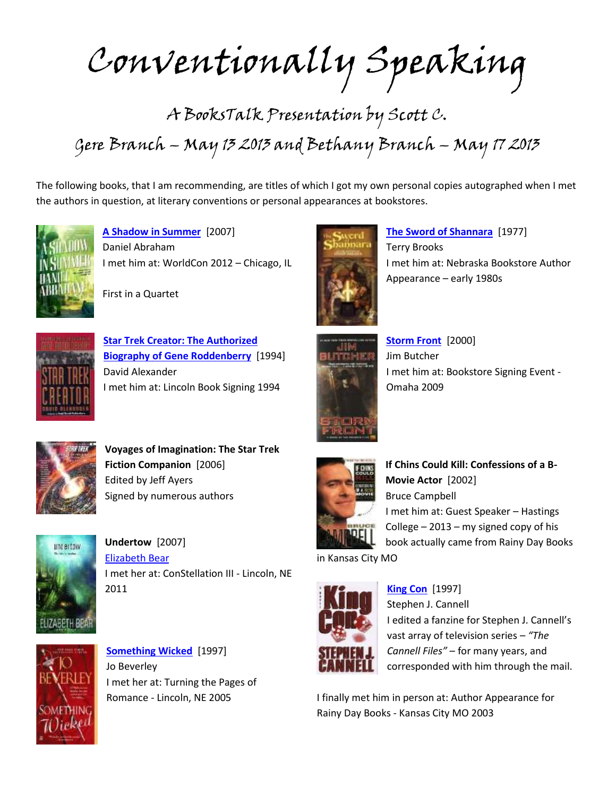Conventionally Speaking

## A BooksTalk Presentation by Scott C. Gere Branch – May 13 2013 and Bethany Branch – May 17 2013

The following books, that I am recommending, are titles of which I got my own personal copies autographed when I met the authors in question, at literary conventions or personal appearances at bookstores.



**[A Shadow in Summer](https://lcl.ent.sirsi.net/client/en_US/default/search/results?qu=shadow+summer+abraham&te=)** [2007] Daniel Abraham I met him at: WorldCon 2012 – Chicago, IL





**[Star Trek Creator: The Authorized](https://lcl.ent.sirsi.net/client/en_US/default/search/results?qu=star+trek+creator+alexander&te=)  [Biography of Gene Roddenberry](https://lcl.ent.sirsi.net/client/en_US/default/search/results?qu=star+trek+creator+alexander&te=)** [1994] David Alexander I met him at: Lincoln Book Signing 1994



**[The Sword of Shannara](https://lcl.ent.sirsi.net/client/en_US/default/search/results?qu=sword+shannara+brooks&te=)** [1977] Terry Brooks I met him at: Nebraska Bookstore Author Appearance – early 1980s



**[Storm Front](https://lcl.ent.sirsi.net/client/en_US/default/search/results?qu=storm+front+butcher&te=)** [2000] Jim Butcher I met him at: Bookstore Signing Event - Omaha 2009



**Voyages of Imagination: The Star Trek Fiction Companion** [2006] Edited by Jeff Ayers Signed by numerous authors



**Undertow** [2007] [Elizabeth Bear](https://lcl.ent.sirsi.net/client/en_US/default/search/results?qu=elizabeth+bear&te=) I met her at: ConStellation III - Lincoln, NE 2011



**[Something Wicked](https://lcl.ent.sirsi.net/client/en_US/default/search/results?qu=something+wicked+beverley&te=)** [1997] Jo Beverley I met her at: Turning the Pages of Romance - Lincoln, NE 2005



**If Chins Could Kill: Confessions of a B-Movie Actor** [2002] Bruce Campbell I met him at: Guest Speaker – Hastings College  $-2013 - my$  signed copy of his book actually came from Rainy Day Books

in Kansas City MO



**[King Con](https://lcl.ent.sirsi.net/client/en_US/default/search/results?qu=king+con+cannell&te=)** [1997]

Stephen J. Cannell I edited a fanzine for Stephen J. Cannell's vast array of television series – *"The Cannell Files"* – for many years, and corresponded with him through the mail.

I finally met him in person at: Author Appearance for Rainy Day Books - Kansas City MO 2003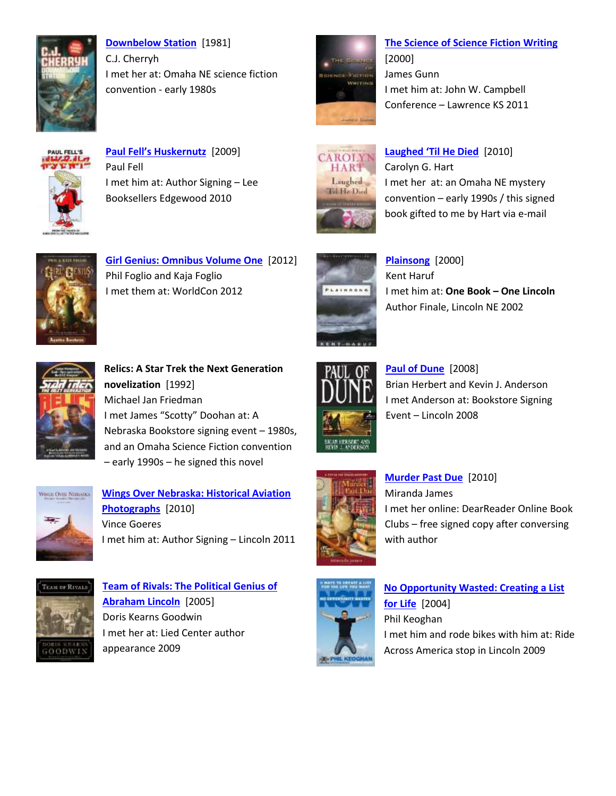

**[Downbelow Station](https://lcl.ent.sirsi.net/client/en_US/default/search/results?qu=downbelow+station+cherryh&te=)** [1981] C.J. Cherryh I met her at: Omaha NE science fiction convention - early 1980s



**[The Science of Science Fiction Writing](https://lcl.ent.sirsi.net/client/en_US/default/search/results?qu=science+fiction+writing+gunn&te=)** [2000] James Gunn I met him at: John W. Campbell Conference – Lawrence KS 2011



**<a href='https://lcl.ent.sirsi.net/client/en\_US/default/search/results?qu=paul+fell's+huskernutz&te='>Paul Fell's Huskernutz** [2009] Paul Fell I met him at: Author Signing – Lee Booksellers Edgewood 2010



**[Laughed 'Til](https://lcl.ent.sirsi.net/client/en_US/default/search/results?qu=laughed+he+died+hart&te=) He Died** [2010] Carolyn G. Hart I met her at: an Omaha NE mystery convention – early 1990s / this signed book gifted to me by Hart via e-mail



**[Girl Genius: Omnibus Volume One](https://lcl.ent.sirsi.net/client/en_US/default/search/results?qu=girl+genius+omnibus+foglio&te=)** [2012] Phil Foglio and Kaja Foglio I met them at: WorldCon 2012



**[Plainsong](https://lcl.ent.sirsi.net/client/en_US/default/search/results?qu=plainsong+haruf&te=)** [2000] Kent Haruf I met him at: **One Book – One Lincoln** Author Finale, Lincoln NE 2002



**Relics: A Star Trek the Next Generation novelization** [1992] Michael Jan Friedman I met James "Scotty" Doohan at: A Nebraska Bookstore signing event – 1980s, and an Omaha Science Fiction convention – early 1990s – he signed this novel



**[Wings Over Nebraska: Historical Aviation](https://lcl.ent.sirsi.net/client/en_US/default/search/results?qu=wings+over+nebraska+goeres&te=)  [Photographs](https://lcl.ent.sirsi.net/client/en_US/default/search/results?qu=wings+over+nebraska+goeres&te=)** [2010] Vince Goeres I met him at: Author Signing – Lincoln 2011



**[Team of Rivals: The Political Genius of](https://lcl.ent.sirsi.net/client/en_US/default/search/results?qu=team+rivals+lincoln+goodwin&te=)  [Abraham Lincoln](https://lcl.ent.sirsi.net/client/en_US/default/search/results?qu=team+rivals+lincoln+goodwin&te=)** [2005] Doris Kearns Goodwin I met her at: Lied Center author appearance 2009



**[Paul of Dune](https://lcl.ent.sirsi.net/client/en_US/default/search/results?qu=paul+dune+herbert+anderson&te=)** [2008] Brian Herbert and Kevin J. Anderson I met Anderson at: Bookstore Signing Event – Lincoln 2008



**[Murder Past Due](https://lcl.ent.sirsi.net/client/en_US/default/search/results?qu=murder+past+due+james&te=)** [2010] Miranda James I met her online: DearReader Online Book Clubs – free signed copy after conversing with author



**[No Opportunity Wasted: Creating a List](https://lcl.ent.sirsi.net/client/en_US/default/search/results?qu=no+opportunity+wasted+keoghan&te=)  [for Life](https://lcl.ent.sirsi.net/client/en_US/default/search/results?qu=no+opportunity+wasted+keoghan&te=)** [2004] Phil Keoghan I met him and rode bikes with him at: Ride Across America stop in Lincoln 2009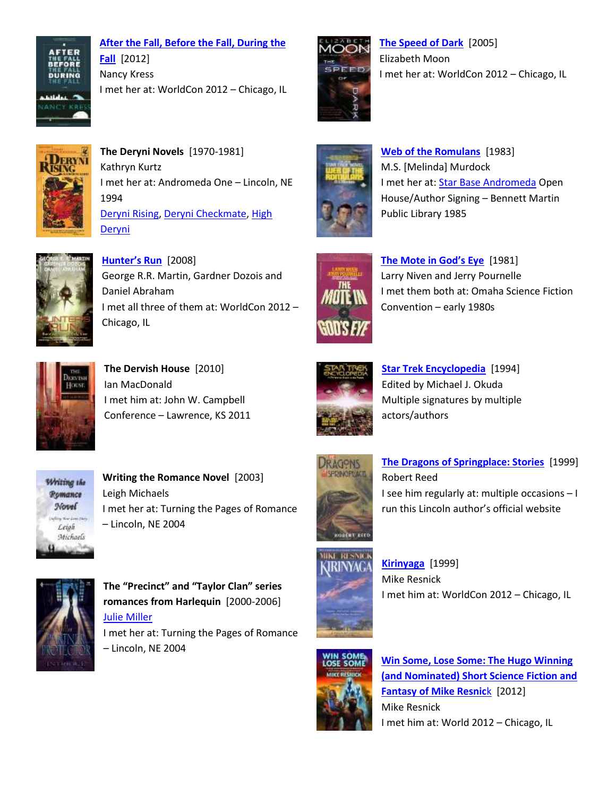

**[After the Fall, Before the Fall, During the](https://lcl.ent.sirsi.net/client/en_US/default/search/results?qu=after+before+during+fall+kress&te=)  [Fall](https://lcl.ent.sirsi.net/client/en_US/default/search/results?qu=after+before+during+fall+kress&te=)** [2012] Nancy Kress I met her at: WorldCon 2012 – Chicago, IL



**[The Speed of Dark](https://lcl.ent.sirsi.net/client/en_US/default/search/results?qu=speed+dark+elizabeth+moon&te=)** [2005] Elizabeth Moon I met her at: WorldCon 2012 – Chicago, IL



**The Deryni Novels** [1970-1981] Kathryn Kurtz I met her at: Andromeda One – Lincoln, NE 1994 [Deryni Rising,](https://lcl.ent.sirsi.net/client/en_US/default/search/results?qu=deryni+rising+kurtz&te=) [Deryni Checkmate,](https://lcl.ent.sirsi.net/client/en_US/default/search/results?qu=deryni+checkmate+kurtz&te=) [High](https://lcl.ent.sirsi.net/client/en_US/default/search/results?qu=high+deryni+kurtz&te=)  **[Deryni](https://lcl.ent.sirsi.net/client/en_US/default/search/results?qu=high+deryni+kurtz&te=)** 



**[Hunter's Run](http://lincoln.pioneer.kohalibrary.com/cgi-bin/koha/opac-search.pl?&q=hunter)** [2008] George R.R. Martin, Gardner Dozois and Daniel Abraham I met all three of them at: WorldCon 2012 – Chicago, IL



**The Dervish House** [2010] Ian MacDonald I met him at: John W. Campbell Conference – Lawrence, KS 2011



**Writing the Romance Novel** [2003] Leigh Michaels I met her at: Turning the Pages of Romance – Lincoln, NE 2004



**The "Precinct" and "Taylor Clan" series romances from Harlequin** [2000-2006] Julie [Miller](https://lcl.ent.sirsi.net/client/en_US/default/search/results?qu=julie+miller&te=) I met her at: Turning the Pages of Romance – Lincoln, NE 2004



**Web of [the Romulans](https://lcl.ent.sirsi.net/client/en_US/default/search/results?qu=web+romulans+murdock&te=)** [1983] M.S. [Melinda] Murdock I met her at: Star Base [Andromeda](http://www.starbaseandromeda.com/) Open House/Author Signing – Bennett Martin Public Library 1985



**<a href='https://lcl.ent.sirsi.net/client/en\_US/default/search/results?qu=mote+god's+eye+niven+pournelle&te='>The Mote in God's Eye** [1981] Larry Niven and Jerry Pournelle I met them both at: Omaha Science Fiction Convention – early 1980s



**[Star Trek Encyclopedia](http://lincoln.pioneer.kohalibrary.com/cgi-bin/koha/opac-search.pl?&q=star+trek+encyclopedia&idx=ti&op=and&q=okuda&idx=au)** [1994] Edited by Michael J. Okuda Multiple signatures by multiple actors/authors



**[The Dragons of Springplace: Stories](https://lcl.ent.sirsi.net/client/en_US/default/search/results?qu=dragons+springPplace+rober+reed&te=)** [1999] Robert Reed I see him regularly at: multiple occasions – I run this Lincoln author's official website



**[Kirinyaga](https://lcl.ent.sirsi.net/client/en_US/default/search/results?qu=kirinyaga+resnick&te=)** [1999] Mike Resnick I met him at: WorldCon 2012 – Chicago, IL



**[Win Some, Lose Some: The Hugo Winning](https://lcl.ent.sirsi.net/client/en_US/default/search/results?qu=win+some+lose+resnick&te=)  [\(and Nominated\) Short Science Fiction and](https://lcl.ent.sirsi.net/client/en_US/default/search/results?qu=win+some+lose+resnick&te=)  [Fantasy of Mike Resnic](https://lcl.ent.sirsi.net/client/en_US/default/search/results?qu=win+some+lose+resnick&te=)k** [2012] Mike Resnick I met him at: World 2012 – Chicago, IL